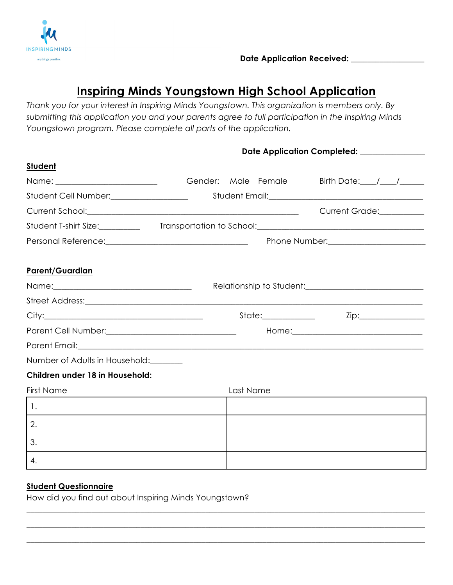

# **Inspiring Minds Youngstown High School Application**

*Thank you for your interest in Inspiring Minds Youngstown. This organization is members only. By submitting this application you and your parents agree to full participation in the Inspiring Minds Youngstown program. Please complete all parts of the application.*

|                                         | Date Application Completed: _____________ |           |                     |                                                                 |
|-----------------------------------------|-------------------------------------------|-----------|---------------------|-----------------------------------------------------------------|
| <b>Student</b>                          |                                           |           |                     |                                                                 |
|                                         |                                           |           | Gender: Male Female | Birth Date: 1______ /__________                                 |
| Student Cell Number:___________________ |                                           |           |                     |                                                                 |
|                                         |                                           |           |                     | Current Grade:__________                                        |
|                                         |                                           |           |                     |                                                                 |
|                                         |                                           |           |                     |                                                                 |
| <b>Parent/Guardian</b>                  |                                           |           |                     |                                                                 |
|                                         |                                           |           |                     | Relationship to Student: <u>_______________________________</u> |
|                                         |                                           |           |                     |                                                                 |
|                                         |                                           |           |                     |                                                                 |
|                                         |                                           |           |                     |                                                                 |
|                                         |                                           |           |                     |                                                                 |
| Number of Adults in Household:          |                                           |           |                     |                                                                 |
| Children under 18 in Household:         |                                           |           |                     |                                                                 |
| <b>First Name</b>                       |                                           | Last Name |                     |                                                                 |
| $\overline{1}$ .                        |                                           |           |                     |                                                                 |
| 2.                                      |                                           |           |                     |                                                                 |
| 3.                                      |                                           |           |                     |                                                                 |
| 4.                                      |                                           |           |                     |                                                                 |

\_\_\_\_\_\_\_\_\_\_\_\_\_\_\_\_\_\_\_\_\_\_\_\_\_\_\_\_\_\_\_\_\_\_\_\_\_\_\_\_\_\_\_\_\_\_\_\_\_\_\_\_\_\_\_\_\_\_\_\_\_\_\_\_\_\_\_\_\_\_\_\_\_\_\_\_\_\_\_\_\_\_\_\_\_\_\_\_\_\_\_\_\_\_\_\_\_\_

 $\_$  ,  $\_$  ,  $\_$  ,  $\_$  ,  $\_$  ,  $\_$  ,  $\_$  ,  $\_$  ,  $\_$  ,  $\_$  ,  $\_$  ,  $\_$  ,  $\_$  ,  $\_$  ,  $\_$  ,  $\_$  ,  $\_$  ,  $\_$  ,  $\_$  ,  $\_$  ,  $\_$  ,  $\_$  ,  $\_$  ,  $\_$  ,  $\_$  ,  $\_$  ,  $\_$  ,  $\_$  ,  $\_$  ,  $\_$  ,  $\_$  ,  $\_$  ,  $\_$  ,  $\_$  ,  $\_$  ,  $\_$  ,  $\_$  ,

\_\_\_\_\_\_\_\_\_\_\_\_\_\_\_\_\_\_\_\_\_\_\_\_\_\_\_\_\_\_\_\_\_\_\_\_\_\_\_\_\_\_\_\_\_\_\_\_\_\_\_\_\_\_\_\_\_\_\_\_\_\_\_\_\_\_\_\_\_\_\_\_\_\_\_\_\_\_\_\_\_\_\_\_\_\_\_\_\_\_\_\_\_\_\_\_\_\_

# **Student Questionnaire**

How did you find out about Inspiring Minds Youngstown?